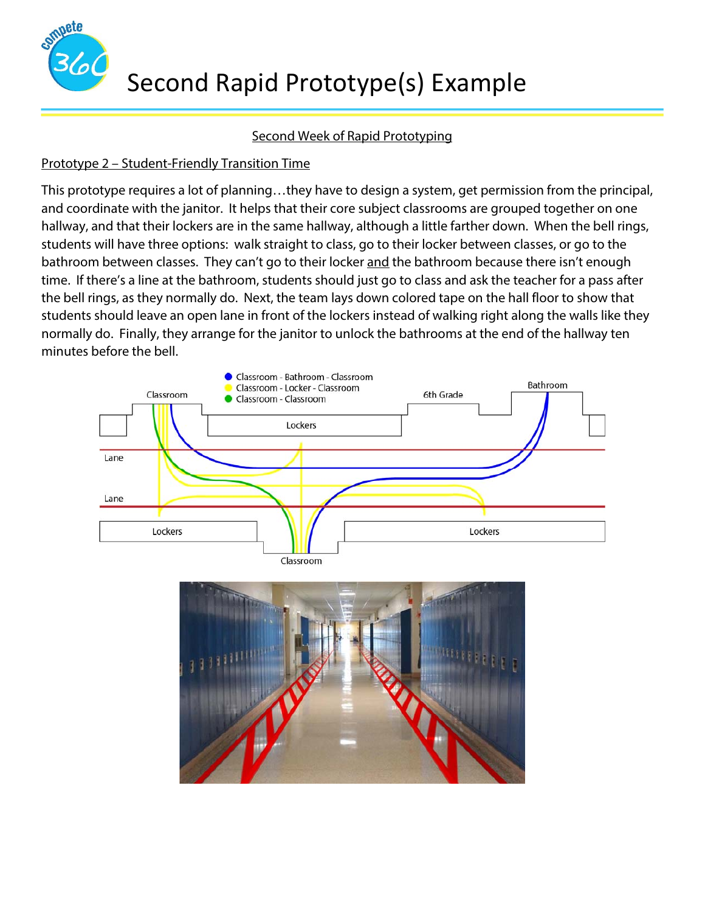

## Second Week of Rapid Prototyping

## Prototype 2 – Student-Friendly Transition Time

This prototype requires a lot of planning…they have to design a system, get permission from the principal, and coordinate with the janitor. It helps that their core subject classrooms are grouped together on one hallway, and that their lockers are in the same hallway, although a little farther down. When the bell rings, students will have three options: walk straight to class, go to their locker between classes, or go to the bathroom between classes. They can't go to their locker and the bathroom because there isn't enough time. If there's a line at the bathroom, students should just go to class and ask the teacher for a pass after the bell rings, as they normally do. Next, the team lays down colored tape on the hall floor to show that students should leave an open lane in front of the lockers instead of walking right along the walls like they normally do. Finally, they arrange for the janitor to unlock the bathrooms at the end of the hallway ten minutes before the bell.